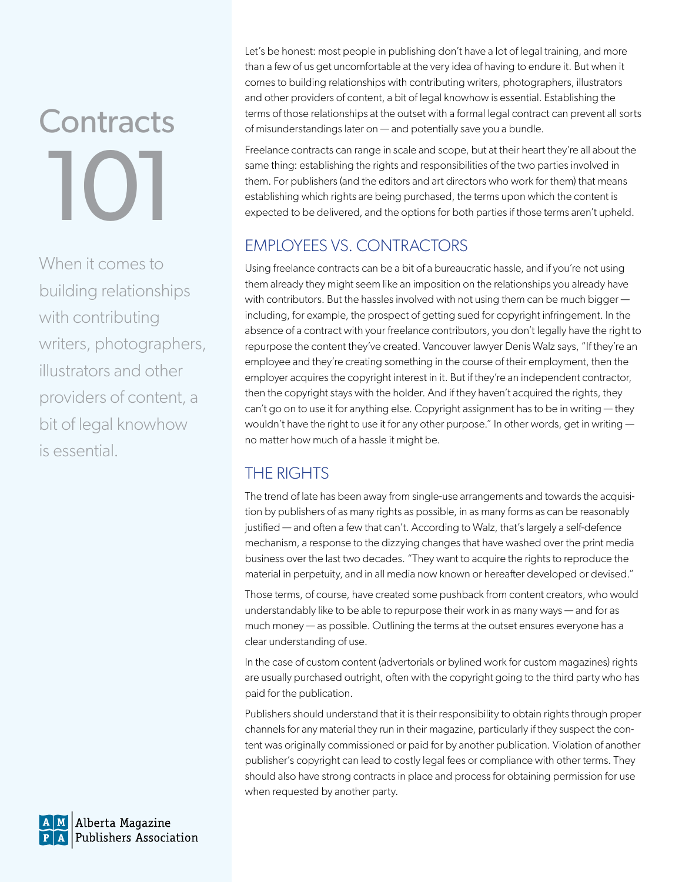# **Contracts** 10

When it comes to building relationships with contributing writers, photographers, illustrators and other providers of content, a bit of legal knowhow is essential.

Let's be honest: most people in publishing don't have a lot of legal training, and more than a few of us get uncomfortable at the very idea of having to endure it. But when it comes to building relationships with contributing writers, photographers, illustrators and other providers of content, a bit of legal knowhow is essential. Establishing the terms of those relationships at the outset with a formal legal contract can prevent all sorts of misunderstandings later on — and potentially save you a bundle.

Freelance contracts can range in scale and scope, but at their heart they're all about the same thing: establishing the rights and responsibilities of the two parties involved in them. For publishers (and the editors and art directors who work for them) that means establishing which rights are being purchased, the terms upon which the content is expected to be delivered, and the options for both parties if those terms aren't upheld.

### EMPLOYEES VS. CONTRACTORS

Using freelance contracts can be a bit of a bureaucratic hassle, and if you're not using them already they might seem like an imposition on the relationships you already have with contributors. But the hassles involved with not using them can be much bigger including, for example, the prospect of getting sued for copyright infringement. In the absence of a contract with your freelance contributors, you don't legally have the right to repurpose the content they've created. Vancouver lawyer Denis Walz says, "If they're an employee and they're creating something in the course of their employment, then the employer acquires the copyright interest in it. But if they're an independent contractor, then the copyright stays with the holder. And if they haven't acquired the rights, they can't go on to use it for anything else. Copyright assignment has to be in writing — they wouldn't have the right to use it for any other purpose." In other words, get in writing  $$ no matter how much of a hassle it might be.

## THE RIGHTS

The trend of late has been away from single-use arrangements and towards the acquisition by publishers of as many rights as possible, in as many forms as can be reasonably justified — and often a few that can't. According to Walz, that's largely a self-defence mechanism, a response to the dizzying changes that have washed over the print media business over the last two decades. "They want to acquire the rights to reproduce the material in perpetuity, and in all media now known or hereafter developed or devised."

Those terms, of course, have created some pushback from content creators, who would understandably like to be able to repurpose their work in as many ways — and for as much money — as possible. Outlining the terms at the outset ensures everyone has a clear understanding of use.

In the case of custom content (advertorials or bylined work for custom magazines) rights are usually purchased outright, often with the copyright going to the third party who has paid for the publication.

Publishers should understand that it is their responsibility to obtain rights through proper channels for any material they run in their magazine, particularly if they suspect the content was originally commissioned or paid for by another publication. Violation of another publisher's copyright can lead to costly legal fees or compliance with other terms. They should also have strong contracts in place and process for obtaining permission for use when requested by another party.